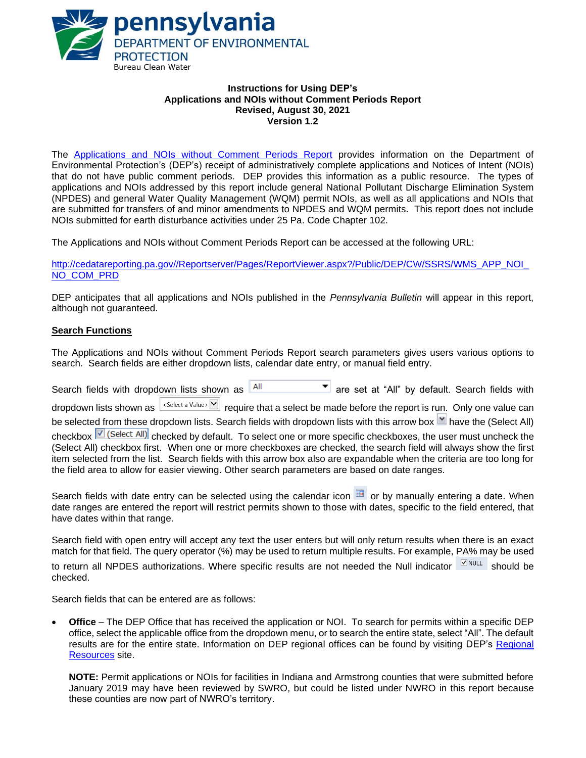

### **Instructions for Using DEP's Applications and NOIs without Comment Periods Report Revised, August 30, 2021 Version 1.2**

The Applications and NOIs without [Comment Periods Report](http://cedatareporting.pa.gov/Reportserver/Pages/ReportViewer.aspx?/Public/DEP/CW/SSRS/WMS_APP_NOI_NO_COM_PRD) provides information on the Department of Environmental Protection's (DEP's) receipt of administratively complete applications and Notices of Intent (NOIs) that do not have public comment periods. DEP provides this information as a public resource. The types of applications and NOIs addressed by this report include general National Pollutant Discharge Elimination System (NPDES) and general Water Quality Management (WQM) permit NOIs, as well as all applications and NOIs that are submitted for transfers of and minor amendments to NPDES and WQM permits. This report does not include NOIs submitted for earth disturbance activities under 25 Pa. Code Chapter 102.

The Applications and NOIs without Comment Periods Report can be accessed at the following URL:

[http://cedatareporting.pa.gov//Reportserver/Pages/ReportViewer.aspx?/Public/DEP/CW/SSRS/WMS\\_APP\\_NOI\\_](http://cedatareporting.pa.gov/Reportserver/Pages/ReportViewer.aspx?/Public/DEP/CW/SSRS/WMS_APP_NOI_NO_COM_PRD) [NO\\_COM\\_PRD](http://cedatareporting.pa.gov/Reportserver/Pages/ReportViewer.aspx?/Public/DEP/CW/SSRS/WMS_APP_NOI_NO_COM_PRD)

DEP anticipates that all applications and NOIs published in the *Pennsylvania Bulletin* will appear in this report, although not guaranteed.

## **Search Functions**

The Applications and NOIs without Comment Periods Report search parameters gives users various options to search. Search fields are either dropdown lists, calendar date entry, or manual field entry.

| Search fields with dropdown lists shown as All                                                                          |                                                                            |  |  | $\blacksquare$ are set at "All" by default. Search fields with |
|-------------------------------------------------------------------------------------------------------------------------|----------------------------------------------------------------------------|--|--|----------------------------------------------------------------|
| dropdown lists shown as $\left \frac{1}{2}$ < Select a Value> $\left \frac{1}{2}\right $                                | require that a select be made before the report is run. Only one value can |  |  |                                                                |
| be selected from these dropdown lists. Search fields with dropdown lists with this arrow box II have the (Select All)   |                                                                            |  |  |                                                                |
| checkbox <b>V</b> (Select All) checked by default. To select one or more specific checkboxes, the user must uncheck the |                                                                            |  |  |                                                                |
| (Select All) checkbox first. When one or more checkboxes are checked, the search field will always show the first       |                                                                            |  |  |                                                                |
| item selected from the list. Search fields with this arrow box also are expandable when the criteria are too long for   |                                                                            |  |  |                                                                |
| the field area to allow for easier viewing. Other search parameters are based on date ranges.                           |                                                                            |  |  |                                                                |

Search fields with date entry can be selected using the calendar icon  $\Box$  or by manually entering a date. When date ranges are entered the report will restrict permits shown to those with dates, specific to the field entered, that have dates within that range.

Search field with open entry will accept any text the user enters but will only return results when there is an exact match for that field. The query operator (%) may be used to return multiple results. For example, PA% may be used to return all NPDES authorizations. Where specific results are not needed the Null indicator  $\Box_{\text{NULL}}$  should be checked.

Search fields that can be entered are as follows:

• **Office** – The DEP Office that has received the application or NOI. To search for permits within a specific DEP office, select the applicable office from the dropdown menu, or to search the entire state, select "All". The default results are for the entire state. Information on DEP regional offices can be found by visiting DEP's [Regional](https://www.dep.pa.gov/About/Regional/Pages/default.aspx#.VfxOz99VhBc)  [Resources](https://www.dep.pa.gov/About/Regional/Pages/default.aspx#.VfxOz99VhBc) site.

**NOTE:** Permit applications or NOIs for facilities in Indiana and Armstrong counties that were submitted before January 2019 may have been reviewed by SWRO, but could be listed under NWRO in this report because these counties are now part of NWRO's territory.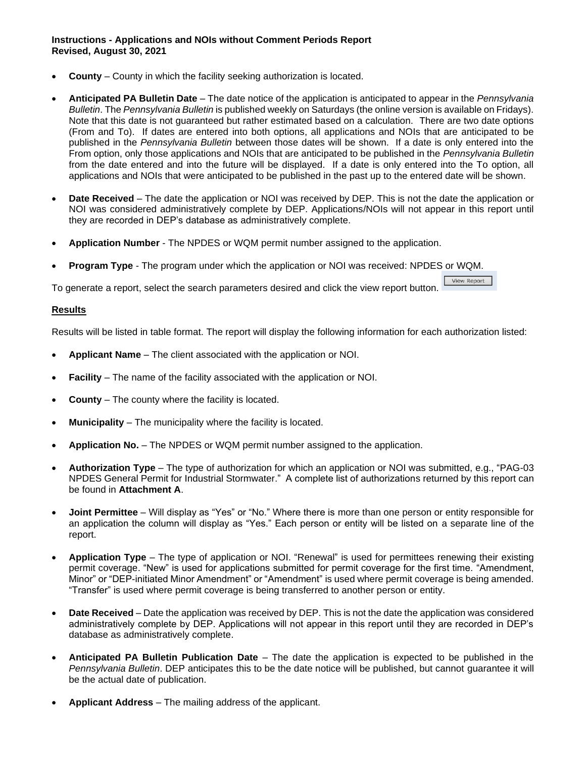**Instructions - Applications and NOIs without Comment Periods Report Revised, August 30, 2021**

- **County**  County in which the facility seeking authorization is located.
- **Anticipated PA Bulletin Date** The date notice of the application is anticipated to appear in the *Pennsylvania Bulletin*. The *Pennsylvania Bulletin* is published weekly on Saturdays (the online version is available on Fridays). Note that this date is not guaranteed but rather estimated based on a calculation. There are two date options (From and To). If dates are entered into both options, all applications and NOIs that are anticipated to be published in the *Pennsylvania Bulletin* between those dates will be shown. If a date is only entered into the From option, only those applications and NOIs that are anticipated to be published in the *Pennsylvania Bulletin* from the date entered and into the future will be displayed. If a date is only entered into the To option, all applications and NOIs that were anticipated to be published in the past up to the entered date will be shown.
- **Date Received** The date the application or NOI was received by DEP. This is not the date the application or NOI was considered administratively complete by DEP. Applications/NOIs will not appear in this report until they are recorded in DEP's database as administratively complete.

View Report

- **Application Number** The NPDES or WQM permit number assigned to the application.
- **Program Type** The program under which the application or NOI was received: NPDES or WQM.

To generate a report, select the search parameters desired and click the view report button.

#### **Results**

Results will be listed in table format. The report will display the following information for each authorization listed:

- **Applicant Name** The client associated with the application or NOI.
- **Facility** The name of the facility associated with the application or NOI.
- **County** The county where the facility is located.
- **Municipality** The municipality where the facility is located.
- **Application No.** The NPDES or WQM permit number assigned to the application.
- **Authorization Type** The type of authorization for which an application or NOI was submitted, e.g., "PAG-03 NPDES General Permit for Industrial Stormwater." A complete list of authorizations returned by this report can be found in **Attachment A**.
- **Joint Permittee** Will display as "Yes" or "No." Where there is more than one person or entity responsible for an application the column will display as "Yes." Each person or entity will be listed on a separate line of the report.
- **Application Type** The type of application or NOI. "Renewal" is used for permittees renewing their existing permit coverage. "New" is used for applications submitted for permit coverage for the first time. "Amendment, Minor" or "DEP-initiated Minor Amendment" or "Amendment" is used where permit coverage is being amended. "Transfer" is used where permit coverage is being transferred to another person or entity.
- **Date Received** Date the application was received by DEP. This is not the date the application was considered administratively complete by DEP. Applications will not appear in this report until they are recorded in DEP's database as administratively complete.
- **Anticipated PA Bulletin Publication Date** The date the application is expected to be published in the *Pennsylvania Bulletin*. DEP anticipates this to be the date notice will be published, but cannot guarantee it will be the actual date of publication.
- **Applicant Address** The mailing address of the applicant.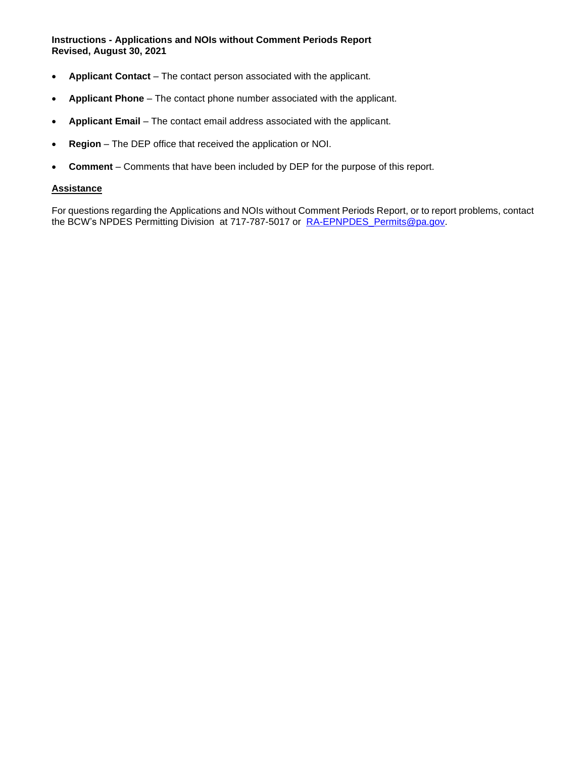**Instructions - Applications and NOIs without Comment Periods Report Revised, August 30, 2021**

- **Applicant Contact** The contact person associated with the applicant.
- **Applicant Phone** The contact phone number associated with the applicant.
- **Applicant Email** The contact email address associated with the applicant.
- **Region** The DEP office that received the application or NOI.
- **Comment** Comments that have been included by DEP for the purpose of this report.

#### **Assistance**

For questions regarding the Applications and NOIs without Comment Periods Report, or to report problems, contact the BCW's NPDES Permitting Division at 717-787-5017 or RA-EPNPDES Permits@pa.gov.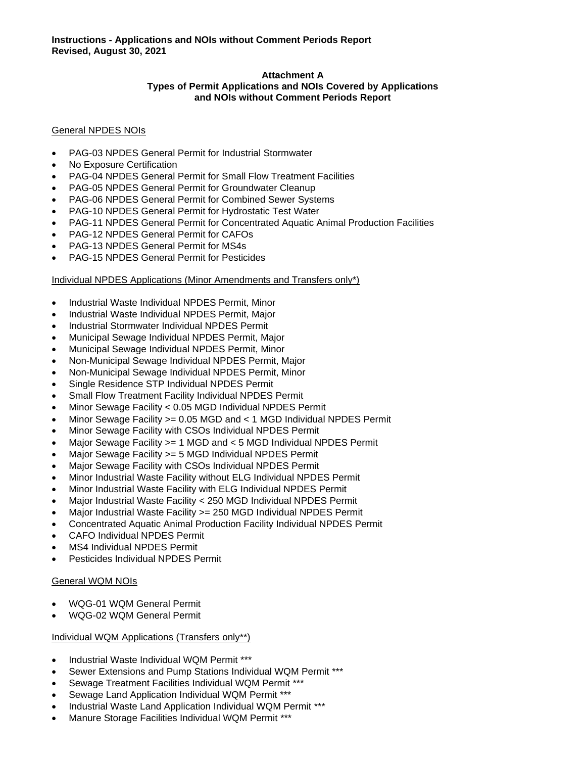## **Attachment A**

#### **Types of Permit Applications and NOIs Covered by Applications and NOIs without Comment Periods Report**

## General NPDES NOIs

- PAG-03 NPDES General Permit for Industrial Stormwater
- No Exposure Certification
- PAG-04 NPDES General Permit for Small Flow Treatment Facilities
- PAG-05 NPDES General Permit for Groundwater Cleanup
- PAG-06 NPDES General Permit for Combined Sewer Systems
- PAG-10 NPDES General Permit for Hydrostatic Test Water
- PAG-11 NPDES General Permit for Concentrated Aquatic Animal Production Facilities
- PAG-12 NPDES General Permit for CAFOs
- PAG-13 NPDES General Permit for MS4s
- PAG-15 NPDES General Permit for Pesticides

## Individual NPDES Applications (Minor Amendments and Transfers only\*)

- Industrial Waste Individual NPDES Permit, Minor
- Industrial Waste Individual NPDES Permit, Major
- Industrial Stormwater Individual NPDES Permit
- Municipal Sewage Individual NPDES Permit, Major
- Municipal Sewage Individual NPDES Permit, Minor
- Non-Municipal Sewage Individual NPDES Permit, Major
- Non-Municipal Sewage Individual NPDES Permit, Minor
- Single Residence STP Individual NPDES Permit
- Small Flow Treatment Facility Individual NPDES Permit
- Minor Sewage Facility < 0.05 MGD Individual NPDES Permit
- Minor Sewage Facility >= 0.05 MGD and < 1 MGD Individual NPDES Permit
- Minor Sewage Facility with CSOs Individual NPDES Permit
- Major Sewage Facility >= 1 MGD and < 5 MGD Individual NPDES Permit
- Major Sewage Facility > = 5 MGD Individual NPDES Permit
- Major Sewage Facility with CSOs Individual NPDES Permit
- Minor Industrial Waste Facility without ELG Individual NPDES Permit
- Minor Industrial Waste Facility with ELG Individual NPDES Permit
- Major Industrial Waste Facility < 250 MGD Individual NPDES Permit
- Major Industrial Waste Facility > = 250 MGD Individual NPDES Permit
- Concentrated Aquatic Animal Production Facility Individual NPDES Permit
- CAFO Individual NPDES Permit
- MS4 Individual NPDES Permit
- Pesticides Individual NPDES Permit

#### General WQM NOIs

- WQG-01 WQM General Permit
- WQG-02 WQM General Permit

#### Individual WQM Applications (Transfers only\*\*)

- Industrial Waste Individual WQM Permit \*\*\*
- Sewer Extensions and Pump Stations Individual WQM Permit \*\*\*
- Sewage Treatment Facilities Individual WQM Permit \*\*\*
- Sewage Land Application Individual WQM Permit \*\*\*
- Industrial Waste Land Application Individual WQM Permit \*\*\*
- Manure Storage Facilities Individual WQM Permit \*\*\*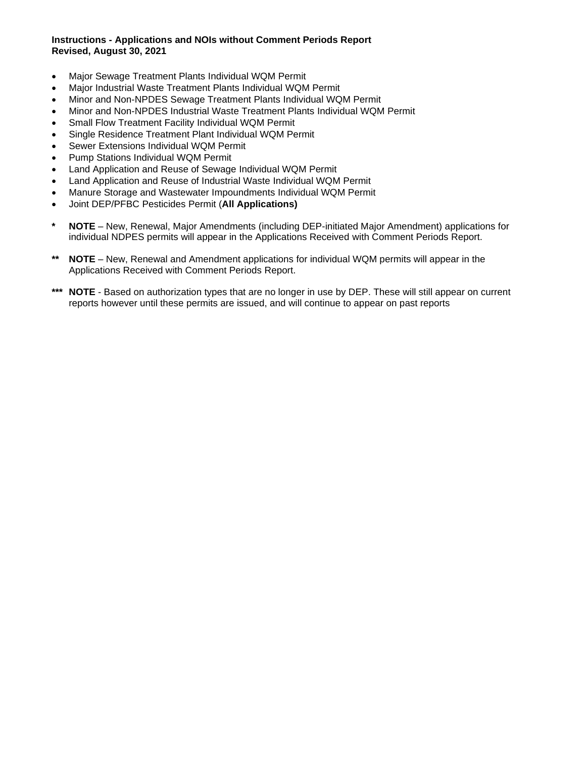## **Instructions - Applications and NOIs without Comment Periods Report Revised, August 30, 2021**

- Major Sewage Treatment Plants Individual WQM Permit
- Major Industrial Waste Treatment Plants Individual WQM Permit
- Minor and Non-NPDES Sewage Treatment Plants Individual WQM Permit
- Minor and Non-NPDES Industrial Waste Treatment Plants Individual WQM Permit
- Small Flow Treatment Facility Individual WQM Permit
- Single Residence Treatment Plant Individual WQM Permit
- Sewer Extensions Individual WQM Permit
- Pump Stations Individual WQM Permit
- Land Application and Reuse of Sewage Individual WQM Permit
- Land Application and Reuse of Industrial Waste Individual WQM Permit
- Manure Storage and Wastewater Impoundments Individual WQM Permit
- Joint DEP/PFBC Pesticides Permit (**All Applications)**
- **\* NOTE** New, Renewal, Major Amendments (including DEP-initiated Major Amendment) applications for individual NDPES permits will appear in the Applications Received with Comment Periods Report.
- **\*\* NOTE** New, Renewal and Amendment applications for individual WQM permits will appear in the Applications Received with Comment Periods Report.
- **\*\*\* NOTE** Based on authorization types that are no longer in use by DEP. These will still appear on current reports however until these permits are issued, and will continue to appear on past reports